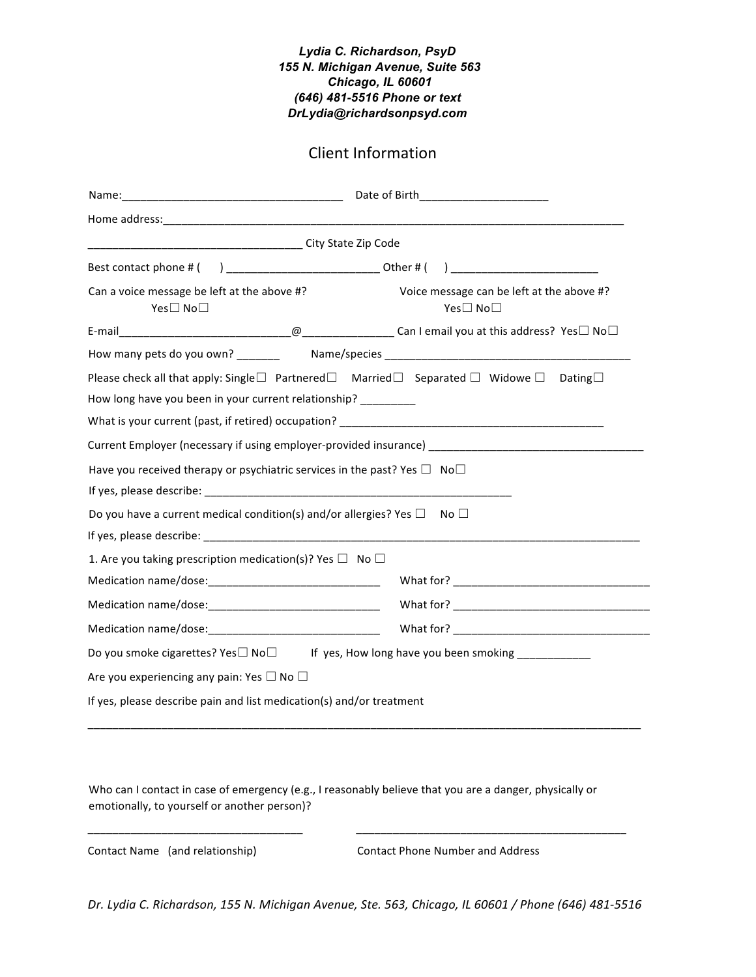## *Lydia C. Richardson, PsyD 155 N. Michigan Avenue, Suite 563 Chicago, IL 60601 (646) 481-5516 Phone or text DrLydia@richardsonpsyd.com*

## Client Information

|                                                                                                                                                                                                             | Date of Birth_______________________                                                                |
|-------------------------------------------------------------------------------------------------------------------------------------------------------------------------------------------------------------|-----------------------------------------------------------------------------------------------------|
|                                                                                                                                                                                                             |                                                                                                     |
|                                                                                                                                                                                                             |                                                                                                     |
|                                                                                                                                                                                                             |                                                                                                     |
| Can a voice message be left at the above #?<br>Yes□ No□                                                                                                                                                     | Voice message can be left at the above #?<br>Yes□ No□                                               |
|                                                                                                                                                                                                             |                                                                                                     |
|                                                                                                                                                                                                             |                                                                                                     |
| Please check all that apply: Single $\square$ Partnered $\square$ Married $\square$ Separated $\square$ Widowe $\square$ Dating $\square$<br>How long have you been in your current relationship? _________ |                                                                                                     |
|                                                                                                                                                                                                             |                                                                                                     |
|                                                                                                                                                                                                             | Current Employer (necessary if using employer-provided insurance) _________________________________ |
| Have you received therapy or psychiatric services in the past? Yes $\Box$ No $\Box$                                                                                                                         |                                                                                                     |
| Do you have a current medical condition(s) and/or allergies? Yes $\Box$                                                                                                                                     | No <sub>1</sub>                                                                                     |
| 1. Are you taking prescription medication(s)? Yes $\Box$ No $\Box$                                                                                                                                          |                                                                                                     |
|                                                                                                                                                                                                             |                                                                                                     |
|                                                                                                                                                                                                             |                                                                                                     |
|                                                                                                                                                                                                             |                                                                                                     |
| Do you smoke cigarettes? Yes $\square$ No $\square$ If yes, How long have you been smoking _____________                                                                                                    |                                                                                                     |
| Are you experiencing any pain: Yes $\square$ No $\square$                                                                                                                                                   |                                                                                                     |
| If yes, please describe pain and list medication(s) and/or treatment                                                                                                                                        |                                                                                                     |

Who can I contact in case of emergency (e.g., I reasonably believe that you are a danger, physically or emotionally, to yourself or another person)?

\_\_\_\_\_\_\_\_\_\_\_\_\_\_\_\_\_\_\_\_\_\_\_\_\_\_\_\_\_\_\_\_\_\_\_ \_\_\_\_\_\_\_\_\_\_\_\_\_\_\_\_\_\_\_\_\_\_\_\_\_\_\_\_\_\_\_\_\_\_\_\_\_\_\_\_\_\_\_\_

Contact Name (and relationship) Contact Phone Number and Address

*Dr. Lydia C. Richardson, 155 N. Michigan Avenue, Ste. 563, Chicago, IL 60601 / Phone (646) 481-5516*